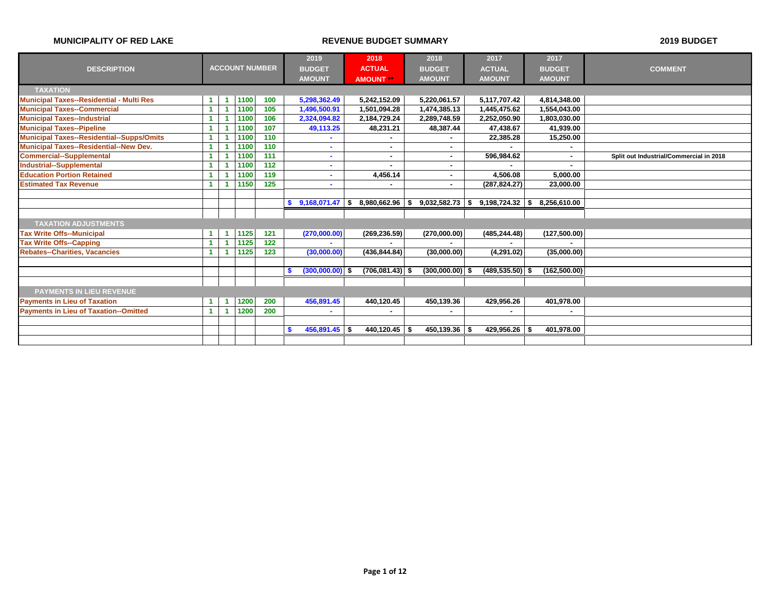|                                                  |    |                       |       | 2019          |                   |          | 2018              |     | 2018              |    | 2017               | 2017          |               |                                         |
|--------------------------------------------------|----|-----------------------|-------|---------------|-------------------|----------|-------------------|-----|-------------------|----|--------------------|---------------|---------------|-----------------------------------------|
| <b>DESCRIPTION</b>                               |    | <b>ACCOUNT NUMBER</b> |       | <b>BUDGET</b> |                   |          | <b>ACTUAL</b>     |     | <b>BUDGET</b>     |    | <b>ACTUAL</b>      | <b>BUDGET</b> |               | <b>COMMENT</b>                          |
|                                                  |    |                       |       | <b>AMOUNT</b> |                   |          | <b>AMOUNT</b>     |     | <b>AMOUNT</b>     |    | <b>AMOUNT</b>      | <b>AMOUNT</b> |               |                                         |
| <b>TAXATION</b>                                  |    |                       |       |               |                   |          |                   |     |                   |    |                    |               |               |                                         |
| <b>Municipal Taxes--Residential - Multi Res</b>  | -1 | 1100                  | 100   |               | 5,298,362.49      |          | 5,242,152.09      |     | 5,220,061.57      |    | 5,117,707.42       | 4,814,348.00  |               |                                         |
| <b>Municipal Taxes--Commercial</b>               | 1  | 1100                  | 105   |               | 1,496,500.91      |          | 1,501,094.28      |     | 1,474,385.13      |    | 1,445,475.62       | 1,554,043.00  |               |                                         |
| <b>Municipal Taxes--Industrial</b>               | 1  | 1100                  | 106   |               | 2,324,094.82      |          | 2,184,729.24      |     | 2,289,748.59      |    | 2,252,050.90       |               | 1,803,030.00  |                                         |
| <b>Municipal Taxes--Pipeline</b>                 |    | 1100                  | 107   |               | 49,113.25         |          | 48,231.21         |     | 48,387.44         |    | 47,438.67          |               | 41,939.00     |                                         |
| <b>Municipal Taxes--Residential--Supps/Omits</b> | 4  | 1100                  | 110   |               |                   |          |                   |     |                   |    | 22,385.28          |               | 15,250.00     |                                         |
| <b>Municipal Taxes--Residential--New Dev.</b>    |    | 1100                  | $110$ |               |                   |          | ٠                 |     |                   |    |                    |               | ٠             |                                         |
| <b>Commercial--Supplemental</b>                  |    | 1100                  | 111   |               |                   |          | $\blacksquare$    |     |                   |    | 596,984.62         |               | $\sim$        | Split out Industrial/Commercial in 2018 |
| <b>Industrial--Supplemental</b>                  |    | 1100                  | 112   |               | $\sim$            |          | $\blacksquare$    |     |                   |    |                    |               | ٠             |                                         |
| <b>Education Portion Retained</b>                |    | 1100                  | 119   |               | $\sim$            |          | 4,456.14          |     | ۰                 |    | 4,506.08           |               | 5,000.00      |                                         |
| <b>Estimated Tax Revenue</b>                     | -1 | 1150                  | 125   |               |                   |          |                   |     |                   |    | (287, 824.27)      |               | 23,000.00     |                                         |
|                                                  |    |                       |       |               |                   |          |                   |     |                   |    |                    |               |               |                                         |
|                                                  |    |                       |       | S             | 9,168,071.47      | <b>S</b> | 8,980,662.96      | l S | 9,032,582.73      | Ŝ. | 9,198,724.32       | 8,256,610.00  |               |                                         |
|                                                  |    |                       |       |               |                   |          |                   |     |                   |    |                    |               |               |                                         |
| <b>TAXATION ADJUSTMENTS</b>                      |    |                       |       |               |                   |          |                   |     |                   |    |                    |               |               |                                         |
| <b>Tax Write Offs--Municipal</b>                 | 1  | 1125                  | 121   |               | (270,000.00)      |          | (269, 236.59)     |     | (270,000.00)      |    | (485, 244.48)      |               | (127,500.00)  |                                         |
| <b>Tax Write Offs--Capping</b>                   | 1  | 1125                  | $122$ |               |                   |          |                   |     |                   |    |                    |               |               |                                         |
| <b>Rebates--Charities, Vacancies</b>             | -1 | 1125                  | 123   |               | (30,000.00)       |          | (436, 844.84)     |     | (30,000.00)       |    | (4,291.02)         |               | (35,000.00)   |                                         |
|                                                  |    |                       |       |               |                   |          |                   |     |                   |    |                    |               |               |                                         |
|                                                  |    |                       |       | S.            | $(300,000.00)$ \$ |          | $(706,081.43)$ \$ |     | $(300,000.00)$ \$ |    | $(489, 535.50)$ \$ |               | (162, 500.00) |                                         |
|                                                  |    |                       |       |               |                   |          |                   |     |                   |    |                    |               |               |                                         |
| PAYMENTS IN LIEU REVENUE                         |    |                       |       |               |                   |          |                   |     |                   |    |                    |               |               |                                         |
| <b>Payments in Lieu of Taxation</b>              |    | 1200                  | 200   |               | 456,891.45        |          | 440,120.45        |     | 450,139.36        |    | 429,956.26         |               | 401,978.00    |                                         |
| <b>Payments in Lieu of Taxation--Omitted</b>     |    | 1200                  | 200   |               |                   |          | ۰                 |     |                   |    |                    |               | ٠             |                                         |
|                                                  |    |                       |       |               |                   |          |                   |     |                   |    |                    |               |               |                                         |
|                                                  |    |                       |       | S.            | $456,891.45$ \$   |          | $440, 120.45$ \$  |     | 450,139.36        |    | 429,956.26         |               | 401.978.00    |                                         |
|                                                  |    |                       |       |               |                   |          |                   |     |                   |    |                    |               |               |                                         |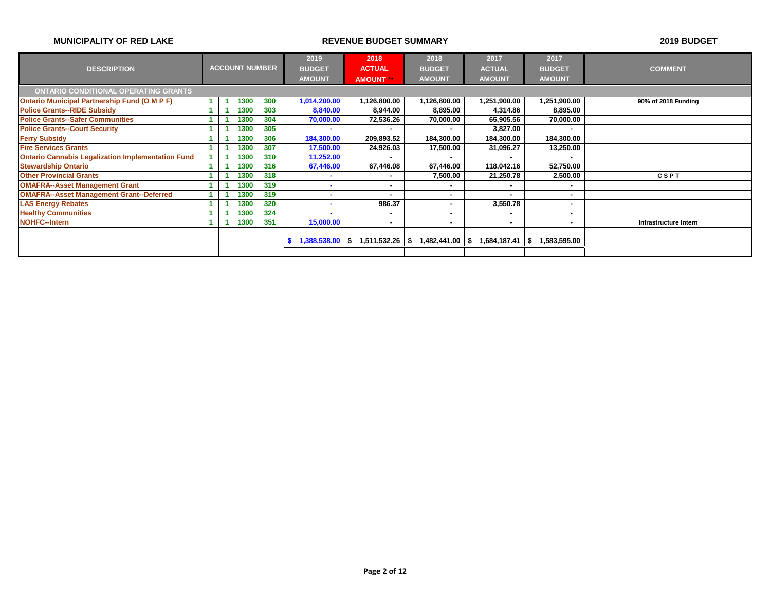|                                                          |  | 2019                  | 2018 | 2018          | 2017                     | 2017                     |                |                          |                       |
|----------------------------------------------------------|--|-----------------------|------|---------------|--------------------------|--------------------------|----------------|--------------------------|-----------------------|
| <b>DESCRIPTION</b>                                       |  | <b>ACCOUNT NUMBER</b> |      | <b>BUDGET</b> | <b>ACTUAL</b>            | <b>BUDGET</b>            | <b>ACTUAL</b>  | <b>BUDGET</b>            | <b>COMMENT</b>        |
|                                                          |  |                       |      | <b>AMOUNT</b> | <b>AMOUNT</b>            | <b>AMOUNT</b>            | <b>AMOUNT</b>  | <b>AMOUNT</b>            |                       |
| <b>ONTARIO CONDITIONAL OPERATING GRANTS</b>              |  |                       |      |               |                          |                          |                |                          |                       |
| <b>Ontario Municipal Partnership Fund (O M P F)</b>      |  | 1300                  | 300  | 1,014,200.00  | 1,126,800.00             | 1,126,800.00             | 1,251,900.00   | 1,251,900.00             | 90% of 2018 Funding   |
| <b>Police Grants--RIDE Subsidy</b>                       |  | 1300                  | 303  | 8,840.00      | 8,944.00                 | 8,895.00                 | 4,314.86       | 8,895.00                 |                       |
| <b>Police Grants--Safer Communities</b>                  |  | 1300                  | 304  | 70,000.00     | 72,536.26                | 70,000.00                | 65,905.56      | 70,000.00                |                       |
| <b>Police Grants--Court Security</b>                     |  | 1300                  | 305  | ۰.            | ۰                        | ۰                        | 3,827.00       | ۰                        |                       |
| <b>Ferry Subsidy</b>                                     |  | 1300                  | 306  | 184,300.00    | 209,893.52               | 184,300.00               | 184,300.00     | 184,300.00               |                       |
| <b>Fire Services Grants</b>                              |  | 1300                  | 307  | 17,500.00     | 24,926.03                | 17,500.00                | 31,096.27      | 13,250.00                |                       |
| <b>Ontario Cannabis Legalization Implementation Fund</b> |  | 1300                  | 310  | 11,252.00     | ٠                        | <b>м</b>                 | $\blacksquare$ |                          |                       |
| <b>Stewardship Ontario</b>                               |  | 1300                  | 316  | 67,446.00     | 67,446.08                | 67,446.00                | 118,042.16     | 52,750.00                |                       |
| <b>Other Provincial Grants</b>                           |  | 1300                  | 318  |               |                          | 7,500.00                 | 21,250.78      | 2,500.00                 | <b>CSPT</b>           |
| <b>OMAFRA--Asset Management Grant</b>                    |  | 1300                  | 319  |               | $\overline{\phantom{a}}$ |                          |                |                          |                       |
| <b>OMAFRA--Asset Management Grant--Deferred</b>          |  | 1300                  | 319  |               | ۰                        | $\overline{\phantom{a}}$ |                |                          |                       |
| <b>LAS Energy Rebates</b>                                |  | 1300                  | 320  |               | 986.37                   | <b>м</b>                 | 3,550.78       |                          |                       |
| <b>Healthy Communities</b>                               |  | 1300                  | 324  |               | $\blacksquare$           | ۰                        | ٠              | $\overline{\phantom{a}}$ |                       |
| <b>NOHFC--Intern</b>                                     |  | 1300                  | 351  | 15,000.00     | $\overline{\phantom{a}}$ | ۰                        | $\blacksquare$ | ۰                        | Infrastructure Intern |
|                                                          |  |                       |      |               |                          |                          |                |                          |                       |
|                                                          |  |                       |      | 1,388,538.00  | 1,511,532.26<br>- \$     | 1,482,441.00<br>\$       | 1,684,187.41   | 1,583,595.00             |                       |
|                                                          |  |                       |      |               |                          |                          |                |                          |                       |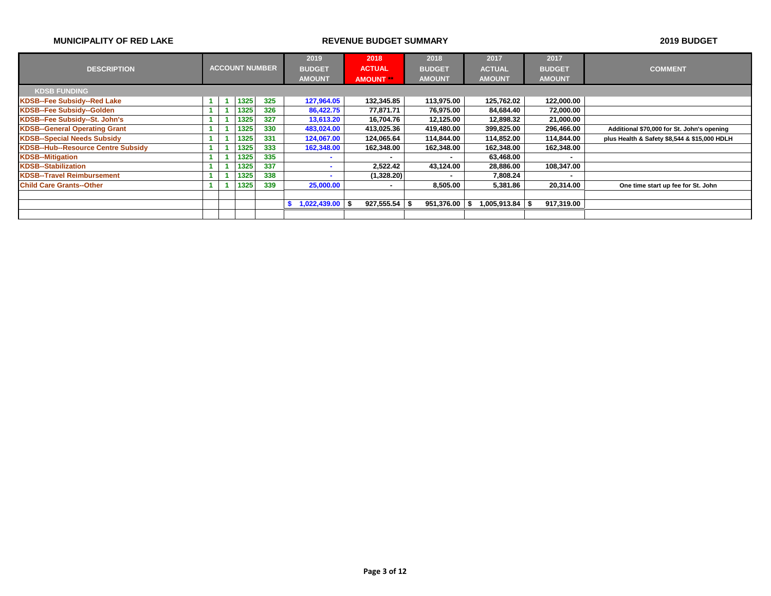|                                           | <b>ACCOUNT NUMBER</b> | 2019 | 2018 | 2018          |                   | 2017                     | 2017          |                          |                |               |                                              |
|-------------------------------------------|-----------------------|------|------|---------------|-------------------|--------------------------|---------------|--------------------------|----------------|---------------|----------------------------------------------|
| <b>DESCRIPTION</b>                        |                       |      |      |               | <b>BUDGET</b>     | <b>ACTUAL</b>            | <b>BUDGET</b> |                          | <b>ACTUAL</b>  | <b>BUDGET</b> | <b>COMMENT</b>                               |
|                                           |                       |      |      | <b>AMOUNT</b> | <b>AMOUNT</b>     | <b>AMOUNT</b>            |               | <b>AMOUNT</b>            | <b>AMOUNT</b>  |               |                                              |
| <b>KDSB FUNDING</b>                       |                       |      |      |               |                   |                          |               |                          |                |               |                                              |
| <b>KDSB--Fee Subsidy--Red Lake</b>        |                       |      | 1325 | 325           | 127,964.05        | 132,345.85               |               | 113.975.00               | 125,762.02     | 122,000.00    |                                              |
| KDSB--Fee Subsidy--Golden                 |                       |      | 1325 | 326           | 86,422.75         | 77,871.71                |               | 76,975.00                | 84,684.40      | 72,000.00     |                                              |
| KDSB--Fee Subsidy--St. John's             |                       |      | 1325 | 327           | 13,613.20         | 16,704.76                |               | 12,125.00                | 12,898.32      | 21,000.00     |                                              |
| <b>KDSB--General Operating Grant</b>      |                       |      | 1325 | 330           | 483,024.00        | 413.025.36               |               | 419.480.00               | 399,825.00     | 296,466.00    | Additional \$70,000 for St. John's opening   |
| <b>KDSB--Special Needs Subsidy</b>        |                       |      | 1325 | 331           | 124,067.00        | 124,065.64               |               | 114,844.00               | 114,852.00     | 114,844.00    | plus Health & Safety \$8,544 & \$15,000 HDLH |
| <b>KDSB--Hub--Resource Centre Subsidy</b> |                       |      | 1325 | 333           | 162,348.00        | 162,348.00               |               | 162,348.00               | 162,348.00     | 162,348.00    |                                              |
| <b>KDSB--Mitigation</b>                   |                       |      | 1325 | 335           |                   | $\overline{\phantom{a}}$ |               | $\overline{\phantom{a}}$ | 63,468.00      |               |                                              |
| <b>KDSB--Stabilization</b>                |                       |      | 1325 | 337           |                   | 2,522.42                 |               | 43.124.00                | 28,886.00      | 108,347.00    |                                              |
| <b>KDSB--Travel Reimbursement</b>         |                       |      | 1325 | 338           |                   | (1,328.20)               |               | $\overline{\phantom{a}}$ | 7,808.24       |               |                                              |
| <b>Child Care Grants--Other</b>           |                       |      | 1325 | 339           | 25,000.00         | $\blacksquare$           |               | 8,505.00                 | 5,381.86       | 20,314.00     | One time start up fee for St. John           |
|                                           |                       |      |      |               |                   |                          |               |                          |                |               |                                              |
|                                           |                       |      |      |               | $1,022,439.00$ \$ | $927,555.54$ \$          |               | 951,376.00               | \$∣005,913.84∣ | 917,319.00    |                                              |
|                                           |                       |      |      |               |                   |                          |               |                          |                |               |                                              |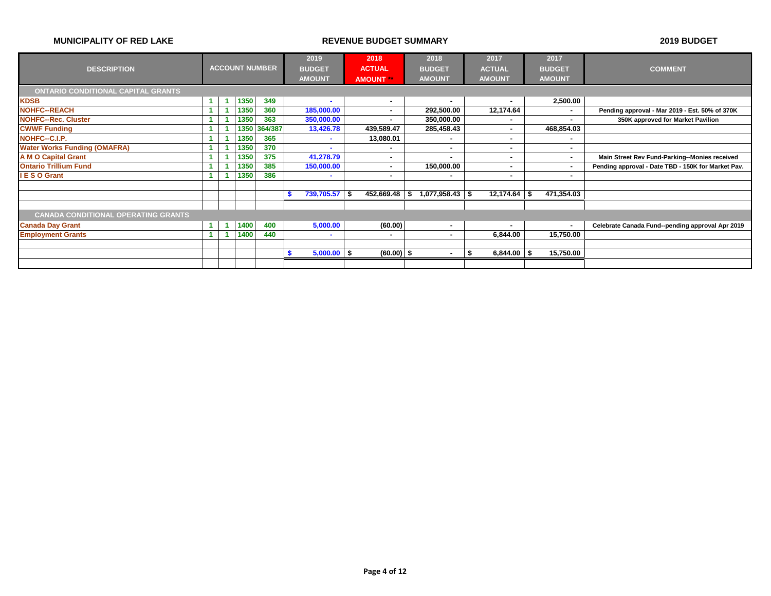|                                            |              |      |      |                       | 2019          | 2018          | 2018                    | 2017            | 2017                     |                                                    |
|--------------------------------------------|--------------|------|------|-----------------------|---------------|---------------|-------------------------|-----------------|--------------------------|----------------------------------------------------|
| <b>DESCRIPTION</b>                         |              |      |      | <b>ACCOUNT NUMBER</b> | <b>BUDGET</b> | <b>ACTUAL</b> | <b>BUDGET</b>           | <b>ACTUAL</b>   | <b>BUDGET</b>            | <b>COMMENT</b>                                     |
|                                            |              |      |      |                       | <b>AMOUNT</b> | <b>AMOUNT</b> | <b>AMOUNT</b>           | <b>AMOUNT</b>   | <b>AMOUNT</b>            |                                                    |
| <b>ONTARIO CONDITIONAL CAPITAL GRANTS</b>  |              |      |      |                       |               |               |                         |                 |                          |                                                    |
| <b>KDSB</b>                                | $\mathbf{1}$ |      | 1350 | 349                   |               | ۰.            | $\mathbf{r}$            | ۰.              | 2,500.00                 |                                                    |
| <b>NOHFC--REACH</b>                        |              |      | 1350 | 360                   | 185,000.00    | ۰.            | 292,500.00              | 12,174.64       | $\overline{\phantom{a}}$ | Pending approval - Mar 2019 - Est. 50% of 370K     |
| <b>NOHFC--Rec. Cluster</b>                 |              |      | 1350 | 363                   | 350,000.00    | ۰             | 350,000.00              |                 |                          | 350K approved for Market Pavilion                  |
| <b>CWWF Funding</b>                        |              |      |      | 1350 364/387          | 13,426.78     | 439,589.47    | 285,458.43              | $\blacksquare$  | 468,854.03               |                                                    |
| NOHFC--C.I.P.                              |              |      | 1350 | 365                   | <b>COL</b>    | 13,080.01     | н.                      |                 | $\overline{\phantom{a}}$ |                                                    |
| <b>Water Works Funding (OMAFRA)</b>        |              |      | 1350 | 370                   |               | ٠             |                         | ۰               | $\overline{\phantom{a}}$ |                                                    |
| <b>A M O Capital Grant</b>                 |              |      | 1350 | 375                   | 41,278.79     | ۰             |                         |                 | ۰                        | Main Street Rev Fund-Parking--Monies received      |
| <b>Ontario Trillium Fund</b>               |              |      | 1350 | 385                   | 150,000.00    |               | 150,000.00              |                 | $\blacksquare$           | Pending approval - Date TBD - 150K for Market Pav. |
| <b>IESO Grant</b>                          |              |      | 1350 | 386                   | $\sim$        | ۰             |                         | ٠               | ۰                        |                                                    |
|                                            |              |      |      |                       |               |               |                         |                 |                          |                                                    |
|                                            |              |      |      |                       | 739,705.57 \$ | 452,669.48    | $1,077,958.43$ \$<br>\$ | $12,174.64$ \$  | 471,354.03               |                                                    |
|                                            |              |      |      |                       |               |               |                         |                 |                          |                                                    |
| <b>CANADA CONDITIONAL OPERATING GRANTS</b> |              |      |      |                       |               |               |                         |                 |                          |                                                    |
| <b>Canada Day Grant</b>                    |              | - 11 | 1400 | 400                   | 5,000.00      | (60.00)       | н.                      |                 | $\blacksquare$           | Celebrate Canada Fund--pending approval Apr 2019   |
| <b>Employment Grants</b>                   |              |      | 1400 | 440                   | $\mathbf{r}$  | ٠             | . —                     | 6,844.00        | 15,750.00                |                                                    |
|                                            |              |      |      |                       |               |               |                         |                 |                          |                                                    |
|                                            |              |      |      |                       | $5,000.00$ \$ | $(60.00)$ \$  | $\sim$                  | $6,844.00$ \ \$ | 15,750.00                |                                                    |
|                                            |              |      |      |                       |               |               |                         |                 |                          |                                                    |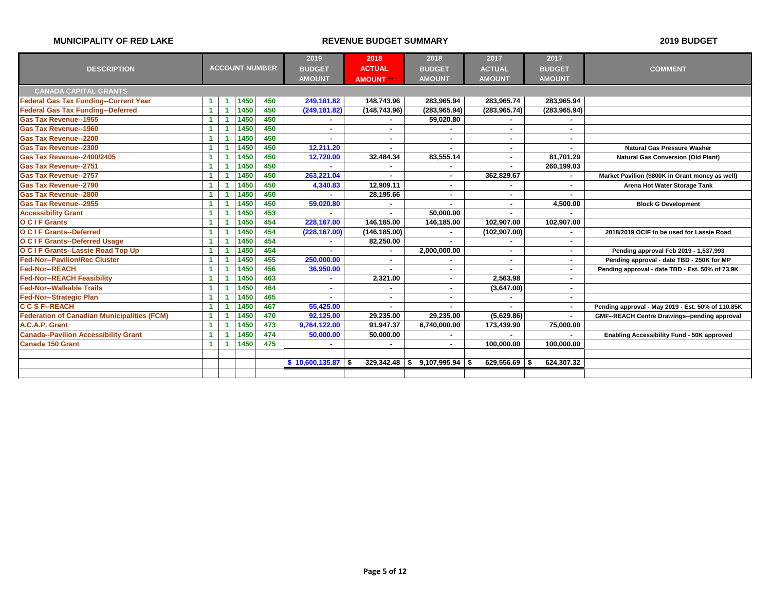|                                                    |                      |                       |     | 2019            | 2018            | 2018                     | 2017                     | 2017                     |                                                   |
|----------------------------------------------------|----------------------|-----------------------|-----|-----------------|-----------------|--------------------------|--------------------------|--------------------------|---------------------------------------------------|
| <b>DESCRIPTION</b>                                 |                      | <b>ACCOUNT NUMBER</b> |     | <b>BUDGET</b>   | <b>ACTUAL</b>   | <b>BUDGET</b>            | <b>ACTUAL</b>            | <b>BUDGET</b>            | <b>COMMENT</b>                                    |
|                                                    |                      |                       |     | <b>AMOUNT</b>   | <b>AMOUNT</b>   | <b>AMOUNT</b>            | <b>AMOUNT</b>            | <b>AMOUNT</b>            |                                                   |
| <b>CANADA CAPITAL GRANTS</b>                       |                      |                       |     |                 |                 |                          |                          |                          |                                                   |
| <b>Federal Gas Tax Funding--Current Year</b>       | $\blacktriangleleft$ | 1450                  | 450 | 249,181.82      | 148,743.96      | 283,965.94               | 283,965.74               | 283.965.94               |                                                   |
| <b>Federal Gas Tax Funding--Deferred</b>           | $\blacktriangleleft$ | 1450                  | 450 | (249, 181.82)   | (148, 743.96)   | (283, 965.94)            | (283, 965.74)            | (283, 965.94)            |                                                   |
| <b>Gas Tax Revenue--1955</b>                       | $\blacktriangleleft$ | 1450                  | 450 |                 |                 | 59.020.80                |                          |                          |                                                   |
| <b>Gas Tax Revenue--1960</b>                       | $\blacktriangleleft$ | 1450                  | 450 |                 | $\blacksquare$  |                          | $\blacksquare$           |                          |                                                   |
| <b>Gas Tax Revenue--2200</b>                       | $\blacktriangleleft$ | 1450                  | 450 |                 | $\blacksquare$  | $\sim$                   | $\blacksquare$           | ٠                        |                                                   |
| <b>Gas Tax Revenue--2300</b>                       | $\blacktriangleleft$ | 1450                  | 450 | 12,211.20       |                 |                          | $\overline{\phantom{a}}$ |                          | <b>Natural Gas Pressure Washer</b>                |
| <b>Gas Tax Revenue--2400/2405</b>                  | $\blacktriangleleft$ | 1450                  | 450 | 12,720.00       | 32,484.34       | 83,555.14                | $\blacksquare$           | 81,701.29                | <b>Natural Gas Conversion (Old Plant)</b>         |
| <b>Gas Tax Revenue--2751</b>                       | $\blacktriangleleft$ | 1450                  | 450 |                 | ٠               |                          |                          | 260,199.03               |                                                   |
| <b>Gas Tax Revenue--2757</b>                       | $\blacktriangleleft$ | 1450                  | 450 | 263,221.04      |                 | $\sim$                   | 362,829.67               |                          | Market Pavilion (\$800K in Grant money as well)   |
| <b>Gas Tax Revenue--2790</b>                       | $\blacktriangleleft$ | 1450                  | 450 | 4,340.83        | 12.909.11       | $\sim$                   | $\blacksquare$           | $\sim$                   | Arena Hot Water Storage Tank                      |
| <b>Gas Tax Revenue--2800</b>                       | $\blacktriangleleft$ | 1450                  | 450 |                 | 28,195.66       | $\sim$                   |                          |                          |                                                   |
| <b>Gas Tax Revenue--2955</b>                       | $\blacktriangleleft$ | 1450                  | 450 | 59,020.80       |                 |                          | $\blacksquare$           | 4,500.00                 | <b>Block G Development</b>                        |
| <b>Accessibility Grant</b>                         | $\blacktriangleleft$ | 1450                  | 453 |                 |                 | 50.000.00                |                          |                          |                                                   |
| <b>OCIF Grants</b>                                 | 1                    | 1450                  | 454 | 228,167.00      | 146.185.00      | 146,185.00               | 102,907.00               | 102,907.00               |                                                   |
| <b>O C I F Grants--Deferred</b>                    | $\blacktriangleleft$ | 1450                  | 454 | (228, 167.00)   | (146, 185.00)   | $\sim$                   | (102, 907.00)            |                          | 2018/2019 OCIF to be used for Lassie Road         |
| <b>O C I F Grants--Deferred Usage</b>              | $\blacktriangleleft$ | 1450                  | 454 |                 | 82.250.00       | $\sim$                   | $\overline{\phantom{a}}$ | $\blacksquare$           |                                                   |
| O C I F Grants--Lassie Road Top Up                 | $\blacktriangleleft$ | 1450                  | 454 |                 | $\blacksquare$  | 2,000,000.00             | $\blacksquare$           | $\overline{\phantom{a}}$ | Pending approval Feb 2019 - 1,537,993             |
| <b>Fed-Nor--Pavilion/Rec Cluster</b>               | $\blacktriangleleft$ | 1450                  | 455 | 250,000.00      | $\sim$          | $\overline{\phantom{a}}$ | $\blacksquare$           | $\overline{\phantom{a}}$ | Pending approval - date TBD - 250K for MP         |
| <b>Fed-Nor--REACH</b>                              | $\blacktriangleleft$ | 1450                  | 456 | 36,950.00       |                 | $\overline{\phantom{a}}$ |                          | $\sim$                   | Pending approval - date TBD - Est. 50% of 73.9K   |
| <b>Fed-Nor--REACH Feasibility</b>                  | $\blacktriangleleft$ | 1450                  | 463 |                 | 2,321.00        | $\sim$                   | 2,563.98                 | $\sim$                   |                                                   |
| <b>Fed-Nor--Walkable Trails</b>                    | $\blacktriangleleft$ | 1450                  | 464 |                 |                 | $\overline{\phantom{a}}$ | (3,647.00)               | $\blacksquare$           |                                                   |
| <b>Fed-Nor--Strategic Plan</b>                     | $\blacktriangleleft$ | 1450                  | 465 |                 | $\blacksquare$  | $\overline{\phantom{a}}$ |                          | ٠                        |                                                   |
| <b>CCSF--REACH</b>                                 | $\blacktriangleleft$ | 1450                  | 467 | 55,425.00       | ٠               |                          |                          | $\blacksquare$           | Pending approval - May 2019 - Est. 50% of 110.85K |
| <b>Federation of Canadian Municipalities (FCM)</b> | $\blacktriangleleft$ | 1450                  | 470 | 92,125.00       | 29,235.00       | 29.235.00                | (5,629.86)               | $\blacksquare$           | GMF--REACH Centre Drawings--pending approval      |
| A.C.A.P. Grant                                     | $\blacktriangleleft$ | 1450                  | 473 | 9,764,122.00    | 91,947.37       | 6,740,000.00             | 173,439.90               | 75,000.00                |                                                   |
| <b>Canada--Pavilion Accessibility Grant</b>        | $\blacktriangleleft$ | 1450                  | 474 | 50,000.00       | 50,000.00       |                          |                          |                          | Enabling Accessibility Fund - 50K approved        |
| <b>Canada 150 Grant</b>                            | $\blacktriangleleft$ | 1450                  | 475 |                 |                 | $\sim$                   | 100,000.00               | 100.000.00               |                                                   |
|                                                    |                      |                       |     |                 |                 |                          |                          |                          |                                                   |
|                                                    |                      |                       |     | \$10,600,135.87 | $329,342.48$ \$ | 9,107,995.94             | $629,556.69$ \$<br>- 5   | 624,307.32               |                                                   |
|                                                    |                      |                       |     |                 |                 |                          |                          |                          |                                                   |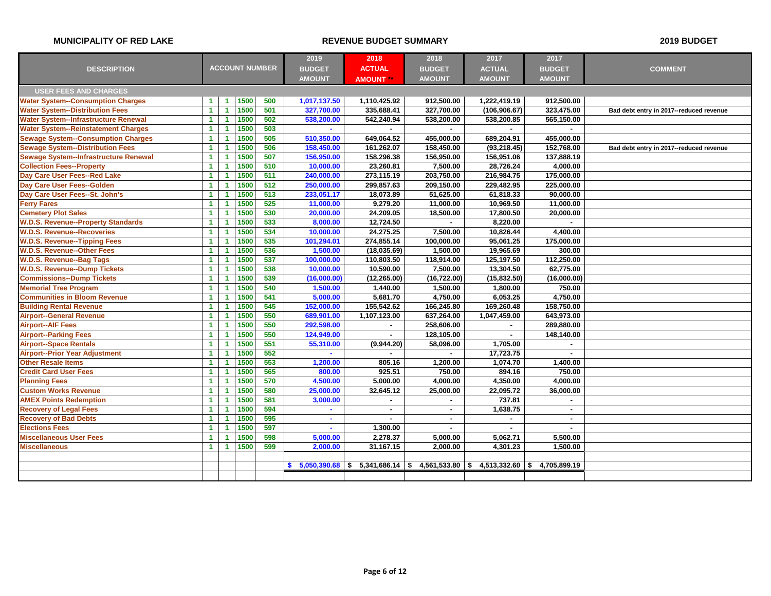|                                              |                                                             | 2019              | 2018           | 2018                                              | 2017           | 2017           |                                         |
|----------------------------------------------|-------------------------------------------------------------|-------------------|----------------|---------------------------------------------------|----------------|----------------|-----------------------------------------|
| <b>DESCRIPTION</b>                           | <b>ACCOUNT NUMBER</b>                                       | <b>BUDGET</b>     | <b>ACTUAL</b>  | <b>BUDGET</b>                                     | <b>ACTUAL</b>  | <b>BUDGET</b>  | <b>COMMENT</b>                          |
|                                              |                                                             | <b>AMOUNT</b>     | <b>AMOUNT</b>  | <b>AMOUNT</b>                                     | <b>AMOUNT</b>  | <b>AMOUNT</b>  |                                         |
| <b>USER FEES AND CHARGES</b>                 |                                                             |                   |                |                                                   |                |                |                                         |
| <b>Water System--Consumption Charges</b>     | 1500<br>500<br>$\blacktriangleleft$<br>$\mathbf{1}$         | 1,017,137.50      | 1,110,425.92   | 912,500.00                                        | 1,222,419.19   | 912.500.00     |                                         |
| <b>Water System--Distribution Fees</b>       | 1500<br>501<br>$\blacktriangleleft$<br>1                    | 327,700.00        | 335,688.41     | 327,700.00                                        | (106, 906.67)  | 323,475.00     | Bad debt entry in 2017--reduced revenue |
| <b>Water System--Infrastructure Renewal</b>  | 502<br>1500<br>1<br>$\overline{1}$                          | 538,200.00        | 542,240.94     | 538,200.00                                        | 538,200.85     | 565,150.00     |                                         |
| Water System--Reinstatement Charges          | 1500<br>503<br>1<br>-1                                      |                   |                |                                                   |                |                |                                         |
| <b>Sewage System--Consumption Charges</b>    | 505<br>1500<br>$\blacktriangleleft$<br>1                    | 510,350.00        | 649,064.52     | 455,000.00                                        | 689,204.91     | 455,000.00     |                                         |
| <b>Sewage System--Distribution Fees</b>      | 506<br>$\mathbf{1}$<br>$\overline{1}$<br>1500               | 158,450.00        | 161,262.07     | 158,450.00                                        | (93, 218.45)   | 152,768.00     | Bad debt entry in 2017--reduced revenue |
| <b>Sewage System--Infrastructure Renewal</b> | 507<br>1500<br>$\blacktriangleleft$<br>-1                   | 156,950.00        | 158,296.38     | 156,950.00                                        | 156,951.06     | 137,888.19     |                                         |
| <b>Collection Fees--Property</b>             | 1500<br>510<br>1<br>$\overline{1}$                          | 10,000.00         | 23,260.81      | 7,500.00                                          | 28,726.24      | 4,000.00       |                                         |
| Day Care User Fees--Red Lake                 | 511<br>1500<br>$\blacktriangleleft$<br>-1                   | 240,000.00        | 273,115.19     | 203,750.00                                        | 216,984.75     | 175,000.00     |                                         |
| Day Care User Fees--Golden                   | 1500<br>512<br>$\overline{1}$<br>1                          | 250,000.00        | 299,857.63     | 209,150.00                                        | 229,482.95     | 225,000.00     |                                         |
| Day Care User Fees--St. John's               | 513<br>1500<br>1<br>-1                                      | 233,051.17        | 18,073.89      | 51,625.00                                         | 61,818.33      | 90.000.00      |                                         |
| <b>Ferry Fares</b>                           | 1500<br>525<br>$\mathbf{1}$<br>-1                           | 11,000.00         | 9,279.20       | 11,000.00                                         | 10,969.50      | 11,000.00      |                                         |
| <b>Cemetery Plot Sales</b>                   | 1500<br>530<br>1<br>-1                                      | 20,000.00         | 24,209.05      | 18,500.00                                         | 17,800.50      | 20,000.00      |                                         |
| <b>W.D.S. Revenue--Property Standards</b>    | 533<br>1500<br>1<br>-1                                      | 8,000.00          | 12,724.50      | $\blacksquare$                                    | 8,220.00       | $\overline{a}$ |                                         |
| <b>W.D.S. Revenue--Recoveries</b>            | 1500<br>534<br>1<br>-1                                      | 10,000.00         | 24,275.25      | 7,500.00                                          | 10,826.44      | 4,400.00       |                                         |
| <b>W.D.S. Revenue--Tipping Fees</b>          | 535<br>1500<br>1<br>$\overline{1}$                          | 101,294.01        | 274,855.14     | 100,000.00                                        | 95,061.25      | 175,000.00     |                                         |
| <b>W.D.S. Revenue--Other Fees</b>            | 1500<br>536<br>$\blacktriangleleft$<br>-1                   | 1,500.00          | (18,035.69)    | 1,500.00                                          | 19,965.69      | 300.00         |                                         |
| <b>W.D.S. Revenue--Bag Tags</b>              | 537<br>1500<br>$\blacktriangleleft$<br>-1                   | 100,000.00        | 110,803.50     | 118,914.00                                        | 125,197.50     | 112,250.00     |                                         |
| <b>W.D.S. Revenue--Dump Tickets</b>          | 538<br>1500<br>1<br>-1                                      | 10,000.00         | 10,590.00      | 7,500.00                                          | 13,304.50      | 62,775.00      |                                         |
| <b>Commissions--Dump Tickets</b>             | 1500<br>539<br>1<br>-1                                      | (16,000.00)       | (12, 265.00)   | (16, 722.00)                                      | (15, 832.50)   | (16,000.00)    |                                         |
| <b>Memorial Tree Program</b>                 | 1500<br>540<br>$\blacktriangleleft$<br>1                    | 1,500.00          | 1,440.00       | 1,500.00                                          | 1,800.00       | 750.00         |                                         |
| <b>Communities in Bloom Revenue</b>          | 541<br>1500<br>$\blacktriangleleft$<br>-1                   | 5,000.00          | 5,681.70       | 4,750.00                                          | 6,053.25       | 4,750.00       |                                         |
| <b>Building Rental Revenue</b>               | 1500<br>545<br>1<br>1                                       | 152,000.00        | 155,542.62     | 166,245.80                                        | 169,260.48     | 158,750.00     |                                         |
| <b>Airport--General Revenue</b>              | 550<br>1500<br>$\blacktriangleleft$<br>-1                   | 689,901.00        | 1,107,123.00   | 637,264.00                                        | 1,047,459.00   | 643.973.00     |                                         |
| <b>Airport--AIF Fees</b>                     | 1500<br>550<br>1<br>-1                                      | 292,598.00        | $\blacksquare$ | 258,606.00                                        | $\sim$         | 289,880.00     |                                         |
| <b>Airport--Parking Fees</b>                 | 550<br>1500<br>-1<br>1                                      | 124,949.00        | $\blacksquare$ | 128,105.00                                        | ٠              | 148,140.00     |                                         |
| <b>Airport--Space Rentals</b>                | 551<br>1500<br>$\blacktriangleleft$<br>$\overline{1}$       | 55,310.00         | (9,944.20)     | 58,096.00                                         | 1,705.00       |                |                                         |
| <b>Airport--Prior Year Adjustment</b>        | 552<br>1500<br>1<br>-1                                      | $\sim$            |                | $\sim$                                            | 17,723.75      | $\blacksquare$ |                                         |
| <b>Other Resale Items</b>                    | 553<br>1500<br>$\mathbf{1}$<br>$\overline{1}$               | 1,200.00          | 805.16         | 1,200.00                                          | 1,074.70       | 1,400.00       |                                         |
| <b>Credit Card User Fees</b>                 | 565<br>1500<br>$\mathbf{1}$<br>-1                           | 800.00            | 925.51         | 750.00                                            | 894.16         | 750.00         |                                         |
| <b>Planning Fees</b>                         | 1500<br>570<br>1<br>1                                       | 4,500.00          | 5,000.00       | 4,000.00                                          | 4,350.00       | 4,000.00       |                                         |
| <b>Custom Works Revenue</b>                  | 580<br>1500<br>1<br>$\overline{1}$                          | 25,000.00         | 32,645.12      | 25,000.00                                         | 22,095.72      | 36,000.00      |                                         |
| <b>AMEX Points Redemption</b>                | 581<br>1500<br>1<br>-1                                      | 3,000.00          | $\blacksquare$ | $\sim$                                            | 737.81         | $\sim$         |                                         |
| <b>Recovery of Legal Fees</b>                | 594<br>1500<br>1<br>1                                       | $\sim$            | $\blacksquare$ | $\sim$                                            | 1,638.75       | $\sim$         |                                         |
| <b>Recovery of Bad Debts</b>                 | 595<br>1500<br>1<br>-1                                      | $\sim$            | $\sim$         | $\sim$                                            | $\blacksquare$ | $\sim$         |                                         |
| <b>Elections Fees</b>                        | 1500<br>597<br>1<br>-1                                      | $\sim$            | 1,300.00       | $\sim$                                            | $\blacksquare$ | $\sim$         |                                         |
| <b>Miscellaneous User Fees</b>               | 1500<br>598<br>$\overline{1}$<br>1                          | 5,000.00          | 2,278.37       | 5,000.00                                          | 5,062.71       | 5,500.00       |                                         |
| <b>Miscellaneous</b>                         | 1500<br>599<br>$\blacktriangleleft$<br>$\blacktriangleleft$ | 2,000.00          | 31,167.15      | 2.000.00                                          | 4,301.23       | 1.500.00       |                                         |
|                                              |                                                             |                   |                |                                                   |                |                |                                         |
|                                              |                                                             | $5,050,390.68$ \$ |                | $5,341,686.14$ \$ 4,561,533.80 \$ 4,513,332.60 \$ |                | 4,705,899.19   |                                         |
|                                              |                                                             |                   |                |                                                   |                |                |                                         |
|                                              |                                                             |                   |                |                                                   |                |                |                                         |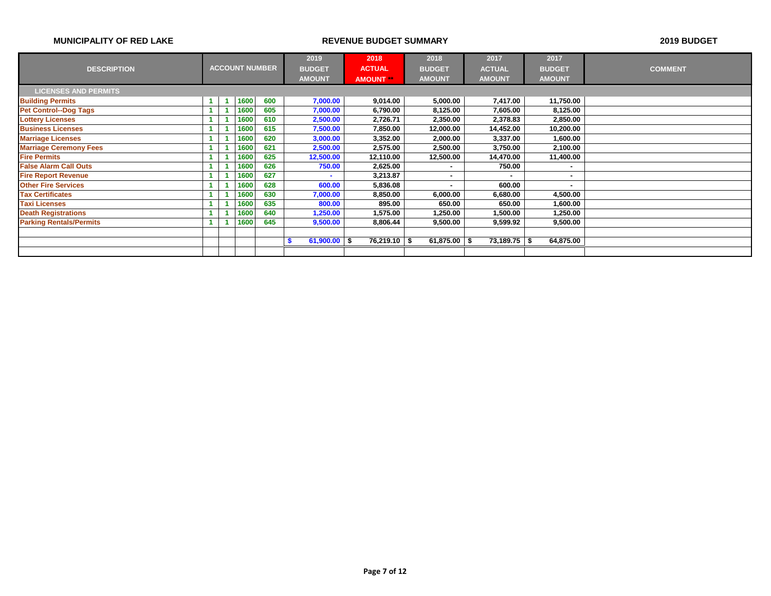|                                |  |                       |               | 2019             | 2018           | 2018          |               | 2017             | 2017                     |                |
|--------------------------------|--|-----------------------|---------------|------------------|----------------|---------------|---------------|------------------|--------------------------|----------------|
| <b>DESCRIPTION</b>             |  | <b>ACCOUNT NUMBER</b> |               | <b>BUDGET</b>    | <b>ACTUAL</b>  | <b>BUDGET</b> |               | <b>ACTUAL</b>    | <b>BUDGET</b>            | <b>COMMENT</b> |
|                                |  |                       | <b>AMOUNT</b> | <b>AMOUNT **</b> | <b>AMOUNT</b>  |               | <b>AMOUNT</b> | <b>AMOUNT</b>    |                          |                |
| <b>LICENSES AND PERMITS</b>    |  |                       |               |                  |                |               |               |                  |                          |                |
| <b>Building Permits</b>        |  | 1600                  | 600           | 7,000.00         | 9,014.00       | 5,000.00      |               | 7,417.00         | 11,750.00                |                |
| <b>Pet Control--Dog Tags</b>   |  | 1600                  | 605           | 7,000.00         | 6,790.00       | 8,125.00      |               | 7,605.00         | 8,125.00                 |                |
| <b>Lottery Licenses</b>        |  | 1600                  | 610           | 2,500.00         | 2,726.71       | 2,350.00      |               | 2,378.83         | 2,850.00                 |                |
| <b>Business Licenses</b>       |  | 1600                  | 615           | 7,500.00         | 7,850.00       | 12,000.00     |               | 14,452.00        | 10,200.00                |                |
| <b>Marriage Licenses</b>       |  | 1600                  | 620           | 3,000.00         | 3,352.00       | 2,000.00      |               | 3,337.00         | 1,600.00                 |                |
| <b>Marriage Ceremony Fees</b>  |  | 1600                  | 621           | 2,500.00         | 2,575.00       | 2,500.00      |               | 3,750.00         | 2,100.00                 |                |
| <b>Fire Permits</b>            |  | 1600                  | 625           | 12,500.00        | 12,110.00      | 12,500.00     |               | 14,470.00        | 11,400.00                |                |
| <b>False Alarm Call Outs</b>   |  | 1600                  | 626           | 750.00           | 2,625.00       | ۰             |               | 750.00           |                          |                |
| <b>Fire Report Revenue</b>     |  | 1600                  | 627           |                  | 3,213.87       | ٠             |               | ۰                | ۰                        |                |
| <b>Other Fire Services</b>     |  | 1600                  | 628           | 600.00           | 5,836.08       |               |               | 600.00           | $\overline{\phantom{a}}$ |                |
| <b>Tax Certificates</b>        |  | 1600                  | 630           | 7,000.00         | 8,850.00       | 6,000.00      |               | 6,680.00         | 4,500.00                 |                |
| <b>Taxi Licenses</b>           |  | 1600                  | 635           | 800.00           | 895.00         | 650.00        |               | 650.00           | 1,600.00                 |                |
| <b>Death Registrations</b>     |  | 1600                  | 640           | 1,250.00         | 1,575.00       | 1,250.00      |               | 1,500.00         | 1,250.00                 |                |
| <b>Parking Rentals/Permits</b> |  | 1600                  | 645           | 9,500.00         | 8,806.44       | 9,500.00      |               | 9,599.92         | 9,500.00                 |                |
|                                |  |                       |               |                  |                |               |               |                  |                          |                |
|                                |  |                       |               | 61,900.00        | $76,219.10$ \$ | 61,875.00     | - \$          | $73,189.75$ \ \$ | 64,875.00                |                |
|                                |  |                       |               |                  |                |               |               |                  |                          |                |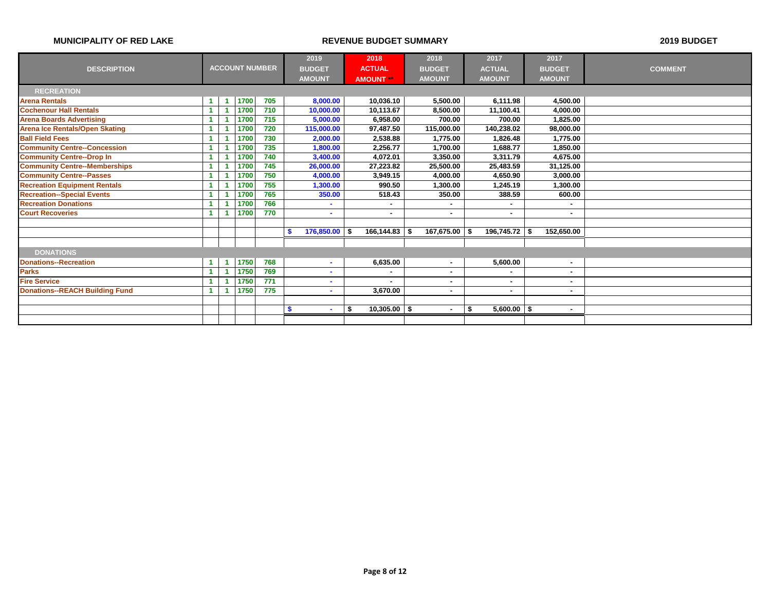|                                       |    |                       |     | 2019               | 2018               | 2018          | 2017                | 2017           |                |
|---------------------------------------|----|-----------------------|-----|--------------------|--------------------|---------------|---------------------|----------------|----------------|
| <b>DESCRIPTION</b>                    |    | <b>ACCOUNT NUMBER</b> |     | <b>BUDGET</b>      | <b>ACTUAL</b>      | <b>BUDGET</b> | <b>ACTUAL</b>       | <b>BUDGET</b>  | <b>COMMENT</b> |
|                                       |    |                       |     | <b>AMOUNT</b>      | <b>AMOUNT</b>      | <b>AMOUNT</b> | <b>AMOUNT</b>       | <b>AMOUNT</b>  |                |
| <b>RECREATION</b>                     |    |                       |     |                    |                    |               |                     |                |                |
| <b>Arena Rentals</b>                  |    | 1700                  | 705 | 8,000.00           | 10,036.10          | 5,500.00      | 6,111.98            | 4,500.00       |                |
| <b>Cochenour Hall Rentals</b>         |    | 1700                  | 710 | 10,000.00          | 10,113.67          | 8,500.00      | 11,100.41           | 4,000.00       |                |
| <b>Arena Boards Advertising</b>       |    | 1700                  | 715 | 5,000.00           | 6,958.00           | 700.00        | 700.00              | 1,825.00       |                |
| <b>Arena Ice Rentals/Open Skating</b> |    | 1700                  | 720 | 115,000.00         | 97,487.50          | 115,000.00    | 140,238.02          | 98,000.00      |                |
| <b>Ball Field Fees</b>                |    | 1700                  | 730 | 2,000.00           | 2,538.88           | 1.775.00      | 1.826.48            | 1,775.00       |                |
| <b>Community Centre--Concession</b>   |    | 1700                  | 735 | 1,800.00           | 2,256.77           | 1.700.00      | 1.688.77            | 1.850.00       |                |
| <b>Community Centre--Drop In</b>      |    | 1700                  | 740 | 3,400.00           | 4,072.01           | 3.350.00      | 3,311.79            | 4,675.00       |                |
| <b>Community Centre--Memberships</b>  |    | 1700                  | 745 | 26,000.00          | 27,223.82          | 25,500.00     | 25,483.59           | 31,125.00      |                |
| <b>Community Centre--Passes</b>       |    | 1700                  | 750 | 4,000.00           | 3,949.15           | 4,000.00      | 4,650.90            | 3,000.00       |                |
| <b>Recreation Equipment Rentals</b>   |    | 1700                  | 755 | 1,300.00           | 990.50             | 1.300.00      | 1,245.19            | 1,300.00       |                |
| <b>Recreation--Special Events</b>     |    | 1700                  | 765 | 350.00             | 518.43             | 350.00        | 388.59              | 600.00         |                |
| <b>Recreation Donations</b>           |    | 1700                  | 766 |                    | ٠                  | ٠             | ٠                   | ٠              |                |
| <b>Court Recoveries</b>               |    | 1700                  | 770 | ۰.                 | ۰.                 | ٠             | $\sim$              | ۰              |                |
|                                       |    |                       |     |                    |                    |               |                     |                |                |
|                                       |    |                       |     | 176,850.00 \$<br>S | $166, 144.83$ \ \$ | 167,675.00 \$ | $196,745.72$ \$     | 152,650.00     |                |
|                                       |    |                       |     |                    |                    |               |                     |                |                |
| <b>DONATIONS</b>                      |    |                       |     |                    |                    |               |                     |                |                |
| <b>Donations--Recreation</b>          | -1 | 1750                  | 768 |                    | 6,635.00           | ٠             | 5,600.00            | $\blacksquare$ |                |
| <b>Parks</b>                          |    | 1750                  | 769 |                    |                    |               | ٠                   | $\blacksquare$ |                |
| <b>Fire Service</b>                   |    | 1750                  | 771 |                    |                    | ۰             | ٠                   | ٠              |                |
| <b>Donations--REACH Building Fund</b> |    | 1750                  | 775 | ۰.                 | 3.670.00           | ٠             | $\blacksquare$      | $\blacksquare$ |                |
|                                       |    |                       |     |                    |                    |               |                     |                |                |
|                                       |    |                       |     | ۰.                 | $10,305.00$ \$     | ٠             | \$<br>$5,600.00$ \$ | ٠              |                |
|                                       |    |                       |     |                    |                    |               |                     |                |                |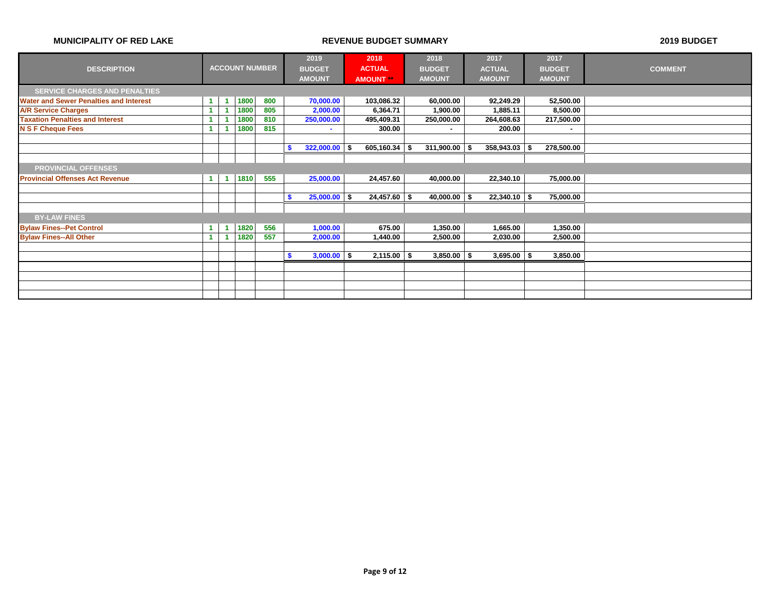|                                               |  |  | 2019                  | 2018 | 2018            |                  | 2017           | 2017 |                  |                |                |
|-----------------------------------------------|--|--|-----------------------|------|-----------------|------------------|----------------|------|------------------|----------------|----------------|
| <b>DESCRIPTION</b>                            |  |  | <b>ACCOUNT NUMBER</b> |      | <b>BUDGET</b>   | <b>ACTUAL</b>    | <b>BUDGET</b>  |      | <b>ACTUAL</b>    | <b>BUDGET</b>  | <b>COMMENT</b> |
|                                               |  |  |                       |      | <b>AMOUNT</b>   | <b>AMOUNT</b> ** | <b>AMOUNT</b>  |      | <b>AMOUNT</b>    | <b>AMOUNT</b>  |                |
| <b>SERVICE CHARGES AND PENALTIES</b>          |  |  |                       |      |                 |                  |                |      |                  |                |                |
| <b>Water and Sewer Penalties and Interest</b> |  |  | 1800                  | 800  | 70,000.00       | 103,086.32       | 60,000.00      |      | 92,249.29        | 52,500.00      |                |
| <b>A/R Service Charges</b>                    |  |  | 1800                  | 805  | 2,000.00        | 6,364.71         | 1,900.00       |      | 1,885.11         | 8,500.00       |                |
| <b>Taxation Penalties and Interest</b>        |  |  | 1800                  | 810  | 250,000.00      | 495,409.31       | 250,000.00     |      | 264,608.63       | 217,500.00     |                |
| <b>N S F Cheque Fees</b>                      |  |  | 1800                  | 815  | $\sim$          | 300.00           | $\sim$         |      | 200.00           | $\blacksquare$ |                |
|                                               |  |  |                       |      |                 |                  |                |      |                  |                |                |
|                                               |  |  |                       |      | $322,000.00$ \$ | $605,160.34$ \$  | 311,900.00     | - \$ | $358,943.03$ \$  | 278,500.00     |                |
|                                               |  |  |                       |      |                 |                  |                |      |                  |                |                |
| <b>PROVINCIAL OFFENSES</b>                    |  |  |                       |      |                 |                  |                |      |                  |                |                |
| <b>Provincial Offenses Act Revenue</b>        |  |  | 1810                  | 555  | 25,000.00       | 24,457.60        | 40,000.00      |      | 22,340.10        | 75,000.00      |                |
|                                               |  |  |                       |      |                 |                  |                |      |                  |                |                |
|                                               |  |  |                       |      | $25,000.00$ \$  | $24,457.60$ \$   | $40,000.00$ \$ |      | $22,340.10$ \ \$ | 75,000.00      |                |
|                                               |  |  |                       |      |                 |                  |                |      |                  |                |                |
| <b>BY-LAW FINES</b>                           |  |  |                       |      |                 |                  |                |      |                  |                |                |
| <b>Bylaw Fines--Pet Control</b>               |  |  | 1820                  | 556  | 1,000.00        | 675.00           | 1,350.00       |      | 1,665.00         | 1,350.00       |                |
| <b>Bylaw Fines--All Other</b>                 |  |  | 1820                  | 557  | 2,000.00        | 1,440.00         | 2,500.00       |      | 2,030.00         | 2,500.00       |                |
|                                               |  |  |                       |      |                 |                  |                |      |                  |                |                |
|                                               |  |  |                       |      | $3,000.00$ \$   | $2,115.00$ \$    | $3,850.00$ \$  |      | $3,695.00$   \$  | 3,850.00       |                |
|                                               |  |  |                       |      |                 |                  |                |      |                  |                |                |
|                                               |  |  |                       |      |                 |                  |                |      |                  |                |                |
|                                               |  |  |                       |      |                 |                  |                |      |                  |                |                |
|                                               |  |  |                       |      |                 |                  |                |      |                  |                |                |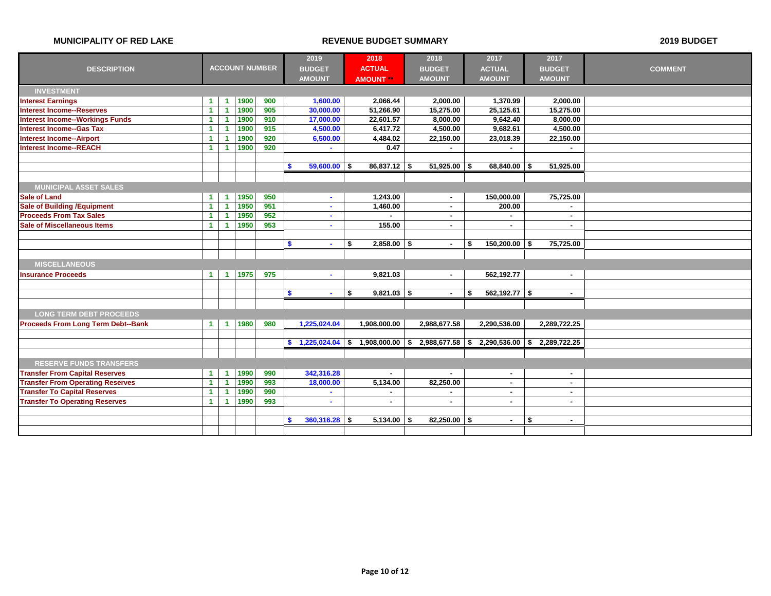|                                           |                      |                      |      |                       | 2019                    | 2018                | 2018            | 2017                        | 2017                     |                |
|-------------------------------------------|----------------------|----------------------|------|-----------------------|-------------------------|---------------------|-----------------|-----------------------------|--------------------------|----------------|
| <b>DESCRIPTION</b>                        |                      |                      |      | <b>ACCOUNT NUMBER</b> | <b>BUDGET</b>           | <b>ACTUAL</b>       | <b>BUDGET</b>   | <b>ACTUAL</b>               | <b>BUDGET</b>            | <b>COMMENT</b> |
|                                           |                      |                      |      |                       | <b>AMOUNT</b>           | <b>AMOUNT</b>       | <b>AMOUNT</b>   | <b>AMOUNT</b>               | <b>AMOUNT</b>            |                |
| <b>INVESTMENT</b>                         |                      |                      |      |                       |                         |                     |                 |                             |                          |                |
| <b>Interest Earnings</b>                  | $\blacktriangleleft$ | $\blacktriangleleft$ | 1900 | 900                   | 1,600.00                | 2,066.44            | 2,000.00        | 1,370.99                    | 2,000.00                 |                |
| <b>Interest Income--Reserves</b>          | $\blacktriangleleft$ | $\blacktriangleleft$ | 1900 | 905                   | 30,000.00               | 51,266.90           | 15,275.00       | 25,125.61                   | 15,275.00                |                |
| <b>Interest Income--Workings Funds</b>    | $\blacktriangleleft$ | -1                   | 1900 | 910                   | 17,000.00               | 22,601.57           | 8.000.00        | 9.642.40                    | 8.000.00                 |                |
| <b>Interest Income--Gas Tax</b>           | $\blacktriangleleft$ | -1                   | 1900 | 915                   | 4,500.00                | 6,417.72            | 4,500.00        | 9,682.61                    | 4,500.00                 |                |
| <b>Interest Income--Airport</b>           | 1                    |                      | 1900 | 920                   | 6,500.00                | 4,484.02            | 22,150.00       | 23,018.39                   | 22,150.00                |                |
| <b>Interest Income--REACH</b>             | $\blacktriangleleft$ | $\blacktriangleleft$ | 1900 | 920                   | $\sim$                  | 0.47                | $\sim$          |                             |                          |                |
|                                           |                      |                      |      |                       |                         |                     |                 |                             |                          |                |
|                                           |                      |                      |      |                       | $59,600.00$ \$<br>S     | $86,837.12$ \$      | $51,925.00$ \$  | $68,840.00$ \$              | 51,925.00                |                |
|                                           |                      |                      |      |                       |                         |                     |                 |                             |                          |                |
| <b>MUNICIPAL ASSET SALES</b>              |                      |                      |      |                       |                         |                     |                 |                             |                          |                |
| <b>Sale of Land</b>                       | 1                    | $\blacktriangleleft$ | 1950 | 950                   | $\sim$                  | 1,243.00            | $\sim$          | 150,000.00                  | 75,725.00                |                |
| <b>Sale of Building /Equipment</b>        | $\blacktriangleleft$ | $\blacktriangleleft$ | 1950 | 951                   | $\sim$                  | 1,460.00            | $\sim$          | 200.00                      | $\sim$                   |                |
| <b>Proceeds From Tax Sales</b>            | $\blacktriangleleft$ | -1                   | 1950 | 952                   | $\sim$                  |                     | $\sim$          | $\blacksquare$              | $\overline{\phantom{a}}$ |                |
| <b>Sale of Miscellaneous Items</b>        | $\blacktriangleleft$ | -1                   | 1950 | 953                   | ٠                       | 155.00              | ٠.              | $\blacksquare$              |                          |                |
|                                           |                      |                      |      |                       |                         |                     |                 |                             |                          |                |
|                                           |                      |                      |      |                       | \$<br>$\sim$            | $2,858.00$ \$<br>\$ | $\sim$          | $150,200.00$ \$<br>\$       | 75,725.00                |                |
|                                           |                      |                      |      |                       |                         |                     |                 |                             |                          |                |
| <b>MISCELLANEOUS</b>                      |                      |                      |      |                       |                         |                     |                 |                             |                          |                |
| <b>Insurance Proceeds</b>                 | $\blacktriangleleft$ | $\blacktriangleleft$ | 1975 | 975                   | $\sim$                  | 9,821.03            | $\sim$          | 562,192.77                  | $\sim$                   |                |
|                                           |                      |                      |      |                       |                         |                     |                 |                             |                          |                |
|                                           |                      |                      |      |                       | \$<br>$\sim$            | \$<br>$9,821.03$ \$ | $\sim$          | $562,192.77$ \$<br>\$       | $\sim$                   |                |
|                                           |                      |                      |      |                       |                         |                     |                 |                             |                          |                |
| <b>LONG TERM DEBT PROCEEDS</b>            |                      |                      |      |                       |                         |                     |                 |                             |                          |                |
| <b>Proceeds From Long Term Debt--Bank</b> | $\blacktriangleleft$ | $\blacktriangleleft$ | 1980 | 980                   | 1,225,024.04            | 1,908,000.00        | 2,988,677.58    | 2,290,536.00                | 2,289,722.25             |                |
|                                           |                      |                      |      |                       |                         |                     |                 |                             |                          |                |
|                                           |                      |                      |      |                       | $1,225,024.04$ \$<br>s. | $1,908,000.00$ \$   |                 | 2,988,677.58 \$2,290,536.00 | 2,289,722.25<br>S.       |                |
|                                           |                      |                      |      |                       |                         |                     |                 |                             |                          |                |
| <b>RESERVE FUNDS TRANSFERS</b>            |                      |                      |      |                       |                         |                     |                 |                             |                          |                |
| <b>Transfer From Capital Reserves</b>     | $\blacktriangleleft$ | $\blacktriangleleft$ | 1990 | 990                   | 342,316.28              | $\sim$              | $\sim$          | $\blacksquare$              | $\blacksquare$           |                |
| <b>Transfer From Operating Reserves</b>   | $\blacktriangleleft$ | $\blacktriangleleft$ | 1990 | 993                   | 18,000.00               | 5,134.00            | 82,250.00       | $\blacksquare$              | $\sim$                   |                |
| <b>Transfer To Capital Reserves</b>       | $\blacktriangleleft$ | -1                   | 1990 | 990                   | $\sim$                  | $\blacksquare$      |                 | $\blacksquare$              | $\overline{\phantom{a}}$ |                |
| <b>Transfer To Operating Reserves</b>     | $\blacktriangleleft$ | -1                   | 1990 | 993                   | $\sim$                  | $\blacksquare$      | $\sim$          | $\sim$                      | $\overline{a}$           |                |
|                                           |                      |                      |      |                       |                         |                     |                 |                             |                          |                |
|                                           |                      |                      |      |                       | 360,316.28<br>9         | 5.134.00<br>- \$    | 82.250.00<br>\$ | - \$<br>$\blacksquare$      | \$                       |                |
|                                           |                      |                      |      |                       |                         |                     |                 |                             |                          |                |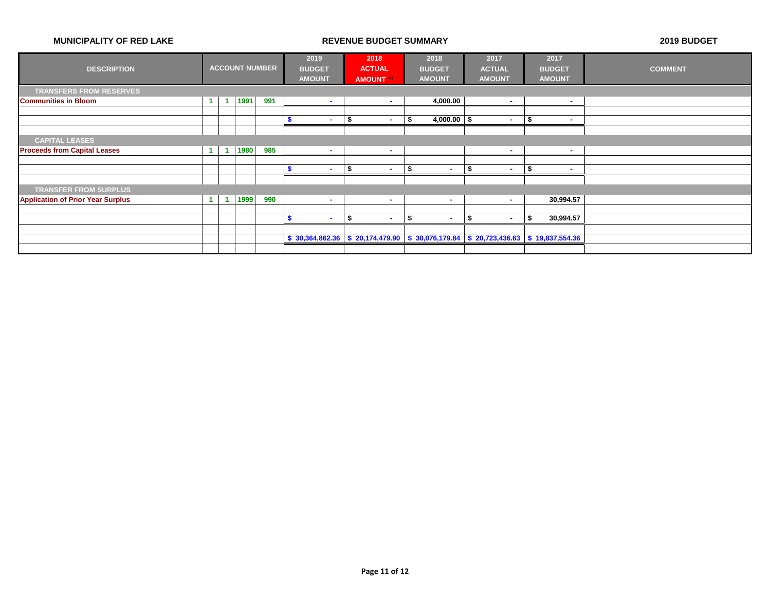|                                          |                      |                |      |                       | 2019          |      | 2018           | 2018                | 2017                                                                                             | 2017                  |                |
|------------------------------------------|----------------------|----------------|------|-----------------------|---------------|------|----------------|---------------------|--------------------------------------------------------------------------------------------------|-----------------------|----------------|
| <b>DESCRIPTION</b>                       |                      |                |      | <b>ACCOUNT NUMBER</b> | <b>BUDGET</b> |      | <b>ACTUAL</b>  | <b>BUDGET</b>       | <b>ACTUAL</b>                                                                                    | <b>BUDGET</b>         | <b>COMMENT</b> |
|                                          |                      |                |      |                       | <b>AMOUNT</b> |      | <b>AMOUNT</b>  | <b>AMOUNT</b>       | <b>AMOUNT</b>                                                                                    | <b>AMOUNT</b>         |                |
| <b>TRANSFERS FROM RESERVES</b>           |                      |                |      |                       |               |      |                |                     |                                                                                                  |                       |                |
| <b>Communities in Bloom</b>              | $\mathbf{1}$         | $\overline{1}$ | 1991 | 991                   | $\sim$        |      | $\sim$         | 4,000.00            | $\blacksquare$                                                                                   | $\sim$                |                |
|                                          |                      |                |      |                       |               |      |                |                     |                                                                                                  |                       |                |
|                                          |                      |                |      |                       | <b>COL</b>    | - 9  | $\blacksquare$ | $4,000.00$ \$<br>\$ | $\blacksquare$                                                                                   | Ĵ<br>$\blacksquare$   |                |
|                                          |                      |                |      |                       |               |      |                |                     |                                                                                                  |                       |                |
| <b>CAPITAL LEASES</b>                    |                      |                |      |                       |               |      |                |                     |                                                                                                  |                       |                |
| <b>Proceeds from Capital Leases</b>      | $\mathbf{1}$         | -1             | 1980 | 985                   | $\sim$        |      | ٠              |                     | $\overline{\phantom{a}}$                                                                         | $\blacksquare$        |                |
|                                          |                      |                |      |                       |               |      |                |                     |                                                                                                  |                       |                |
|                                          |                      |                |      |                       | <b>COL</b>    | -\$  | $\blacksquare$ | Ŝ.<br>. —           | \$<br>٠                                                                                          | -\$<br>$\blacksquare$ |                |
|                                          |                      |                |      |                       |               |      |                |                     |                                                                                                  |                       |                |
| <b>TRANSFER FROM SURPLUS</b>             |                      |                |      |                       |               |      |                |                     |                                                                                                  |                       |                |
| <b>Application of Prior Year Surplus</b> | $\blacktriangleleft$ |                | 1999 | 990                   | . .           |      | $\sim$         | . —                 | $\sim$                                                                                           | 30,994.57             |                |
|                                          |                      |                |      |                       |               |      |                |                     |                                                                                                  |                       |                |
|                                          |                      |                |      |                       | <b>COL</b>    | - 56 | ٠              | \$<br>. —           | £.<br>$\blacksquare$                                                                             | 30,994.57<br>S.       |                |
|                                          |                      |                |      |                       |               |      |                |                     |                                                                                                  |                       |                |
|                                          |                      |                |      |                       |               |      |                |                     | $$30,364,862.36 \mid $20,174,479.90 \mid $30,076,179.84 \mid $20,723,436.63 \mid $19,837,554.36$ |                       |                |
|                                          |                      |                |      |                       |               |      |                |                     |                                                                                                  |                       |                |